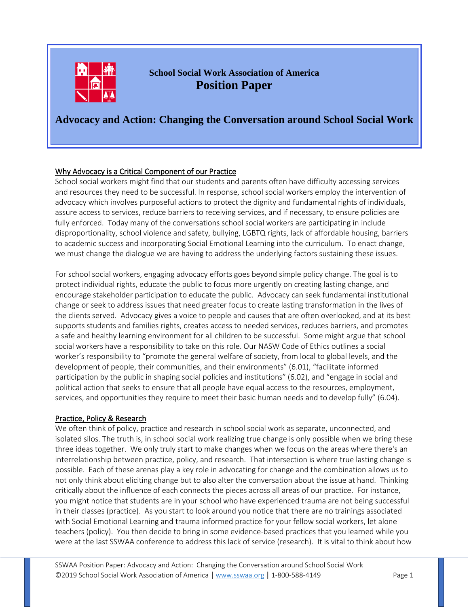

**School Social Work Association of America Position Paper**

# **Advocacy and Action: Changing the Conversation around School Social Work**

# Why Advocacy is a Critical Component of our Practice

School social workers might find that our students and parents often have difficulty accessing services and resources they need to be successful. In response, school social workers employ the intervention of advocacy which involves purposeful actions to protect the dignity and fundamental rights of individuals, assure access to services, reduce barriers to receiving services, and if necessary, to ensure policies are fully enforced. Today many of the conversations school social workers are participating in include disproportionality, school violence and safety, bullying, LGBTQ rights, lack of affordable housing, barriers to academic success and incorporating Social Emotional Learning into the curriculum. To enact change, we must change the dialogue we are having to address the underlying factors sustaining these issues.

For school social workers, engaging advocacy efforts goes beyond simple policy change. The goal is to protect individual rights, educate the public to focus more urgently on creating lasting change, and encourage stakeholder participation to educate the public. Advocacy can seek fundamental institutional change or seek to address issues that need greater focus to create lasting transformation in the lives of the clients served. Advocacy gives a voice to people and causes that are often overlooked, and at its best supports students and families rights, creates access to needed services, reduces barriers, and promotes a safe and healthy learning environment for all children to be successful. Some might argue that school social workers have a responsibility to take on this role. Our NASW Code of Ethics outlines a social worker's responsibility to "promote the general welfare of society, from local to global levels, and the development of people, their communities, and their environments" (6.01), "facilitate informed participation by the public in shaping social policies and institutions" (6.02), and "engage in social and political action that seeks to ensure that all people have equal access to the resources, employment, services, and opportunities they require to meet their basic human needs and to develop fully" (6.04).

### Practice, Policy & Research

We often think of policy, practice and research in school social work as separate, unconnected, and isolated silos. The truth is, in school social work realizing true change is only possible when we bring these three ideas together. We only truly start to make changes when we focus on the areas where there's an interrelationship between practice, policy, and research. That intersection is where true lasting change is possible. Each of these arenas play a key role in advocating for change and the combination allows us to not only think about eliciting change but to also alter the conversation about the issue at hand. Thinking critically about the influence of each connects the pieces across all areas of our practice. For instance, you might notice that students are in your school who have experienced trauma are not being successful in their classes (practice). As you start to look around you notice that there are no trainings associated with Social Emotional Learning and trauma informed practice for your fellow social workers, let alone teachers (policy). You then decide to bring in some evidence-based practices that you learned while you were at the last SSWAA conference to address this lack of service (research). It is vital to think about how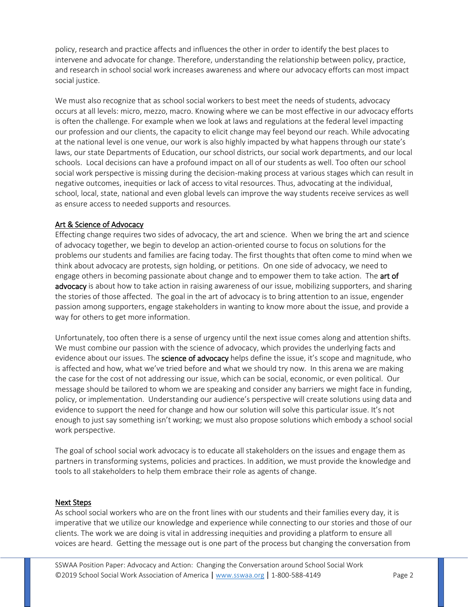policy, research and practice affects and influences the other in order to identify the best places to intervene and advocate for change. Therefore, understanding the relationship between policy, practice, and research in school social work increases awareness and where our advocacy efforts can most impact social justice.

We must also recognize that as school social workers to best meet the needs of students, advocacy occurs at all levels: micro, mezzo, macro. Knowing where we can be most effective in our advocacy efforts is often the challenge. For example when we look at laws and regulations at the federal level impacting our profession and our clients, the capacity to elicit change may feel beyond our reach. While advocating at the national level is one venue, our work is also highly impacted by what happens through our state's laws, our state Departments of Education, our school districts, our social work departments, and our local schools. Local decisions can have a profound impact on all of our students as well. Too often our school social work perspective is missing during the decision-making process at various stages which can result in negative outcomes, inequities or lack of access to vital resources. Thus, advocating at the individual, school, local, state, national and even global levels can improve the way students receive services as well as ensure access to needed supports and resources.

# Art & Science of Advocacy

Effecting change requires two sides of advocacy, the art and science. When we bring the art and science of advocacy together, we begin to develop an action-oriented course to focus on solutions for the problems our students and families are facing today. The first thoughts that often come to mind when we think about advocacy are protests, sign holding, or petitions. On one side of advocacy, we need to engage others in becoming passionate about change and to empower them to take action. The art of advocacy is about how to take action in raising awareness of our issue, mobilizing supporters, and sharing the stories of those affected. The goal in the art of advocacy is to bring attention to an issue, engender passion among supporters, engage stakeholders in wanting to know more about the issue, and provide a way for others to get more information.

Unfortunately, too often there is a sense of urgency until the next issue comes along and attention shifts. We must combine our passion with the science of advocacy, which provides the underlying facts and evidence about our issues. The science of advocacy helps define the issue, it's scope and magnitude, who is affected and how, what we've tried before and what we should try now. In this arena we are making the case for the cost of not addressing our issue, which can be social, economic, or even political. Our message should be tailored to whom we are speaking and consider any barriers we might face in funding, policy, or implementation. Understanding our audience's perspective will create solutions using data and evidence to support the need for change and how our solution will solve this particular issue. It's not enough to just say something isn't working; we must also propose solutions which embody a school social work perspective.

The goal of school social work advocacy is to educate all stakeholders on the issues and engage them as partners in transforming systems, policies and practices. In addition, we must provide the knowledge and tools to all stakeholders to help them embrace their role as agents of change.

### Next Steps

As school social workers who are on the front lines with our students and their families every day, it is imperative that we utilize our knowledge and experience while connecting to our stories and those of our clients. The work we are doing is vital in addressing inequities and providing a platform to ensure all voices are heard. Getting the message out is one part of the process but changing the conversation from